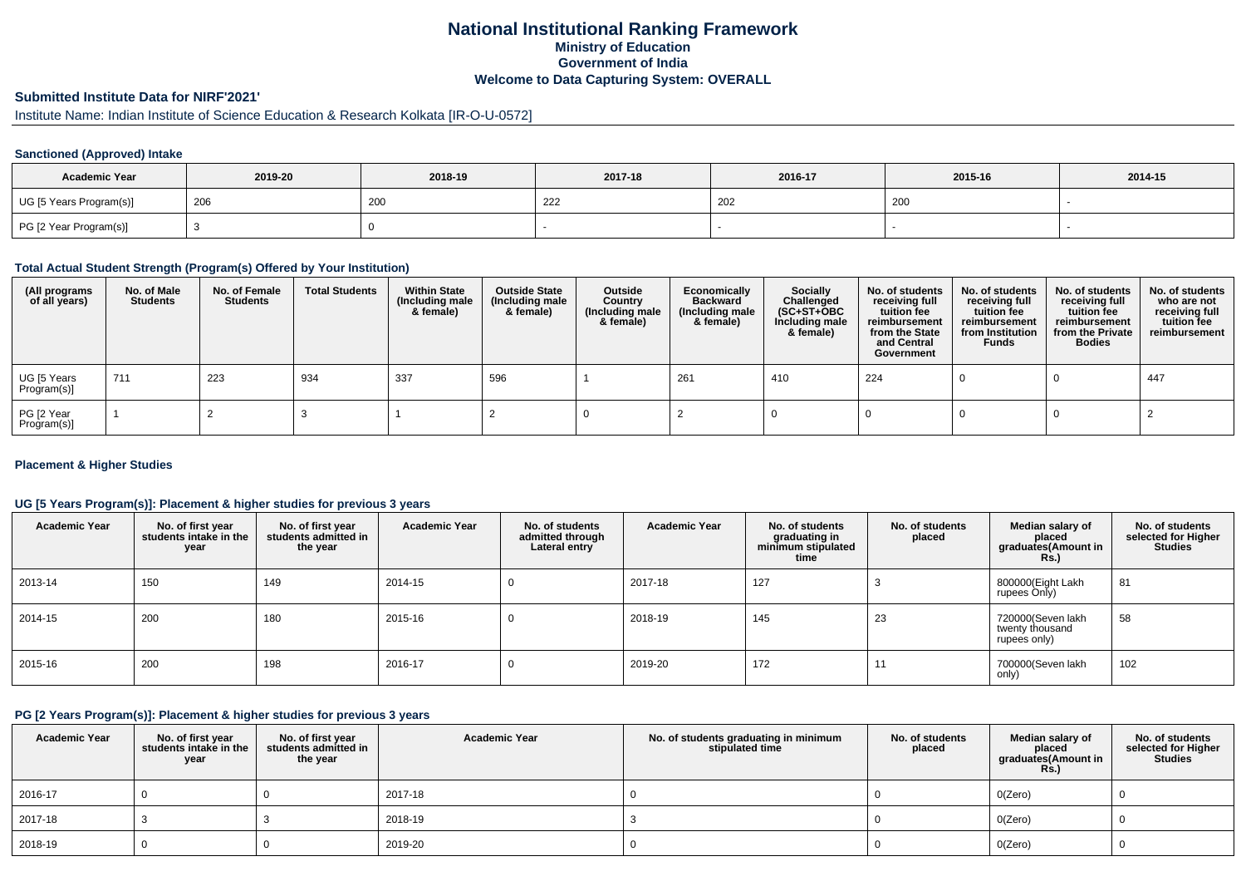# **National Institutional Ranking FrameworkMinistry of Education Government of IndiaWelcome to Data Capturing System: OVERALL**

# **Submitted Institute Data for NIRF'2021'**

# Institute Name: Indian Institute of Science Education & Research Kolkata [IR-O-U-0572]

### **Sanctioned (Approved) Intake**

| <b>Academic Year</b>    | 2019-20 | 2018-19 | 2017-18        | 2016-17 | 2015-16 | 2014-15 |
|-------------------------|---------|---------|----------------|---------|---------|---------|
| UG [5 Years Program(s)] | 206     | 200     | $\sim$<br>-222 | 202     | 200     |         |
| PG [2 Year Program(s)]  |         |         |                |         |         |         |

#### **Total Actual Student Strength (Program(s) Offered by Your Institution)**

| (All programs<br>of all years) | No. of Male<br><b>Students</b> | No. of Female<br>Students | <b>Total Students</b> | <b>Within State</b><br>(Including male<br>& female) | <b>Outside State</b><br>(Including male<br>& female) | Outside<br>Country<br>(Including male<br>& female) | Economically<br>Backward<br>(Including male<br>& female) | <b>Socially</b><br>Challenged<br>$(SC+ST+OBC)$<br>Including male<br>& female) | No. of students<br>receiving full<br>tuition fee<br>reimbursement<br>from the State<br>and Central<br>Government | No. of students<br>receiving full<br>tuition fee<br>reimbursement<br>from Institution<br><b>Funds</b> | No. of students<br>receiving full<br>tuition fee<br>reimbursement<br>from the Private<br><b>Bodies</b> | No. of students<br>who are not<br>receiving full<br>tuition fee<br>reimbursement |
|--------------------------------|--------------------------------|---------------------------|-----------------------|-----------------------------------------------------|------------------------------------------------------|----------------------------------------------------|----------------------------------------------------------|-------------------------------------------------------------------------------|------------------------------------------------------------------------------------------------------------------|-------------------------------------------------------------------------------------------------------|--------------------------------------------------------------------------------------------------------|----------------------------------------------------------------------------------|
| UG [5 Years<br>Program(s)]     | 711                            | 223                       | 934                   | 337                                                 | 596                                                  |                                                    | 261                                                      | 410                                                                           | 224                                                                                                              |                                                                                                       |                                                                                                        | 447                                                                              |
| PG [2 Year<br>Program(s)]      |                                |                           |                       |                                                     |                                                      |                                                    |                                                          |                                                                               |                                                                                                                  |                                                                                                       |                                                                                                        |                                                                                  |

### **Placement & Higher Studies**

### **UG [5 Years Program(s)]: Placement & higher studies for previous 3 years**

| <b>Academic Year</b> | No. of first year<br>students intake in the<br>year | No. of first vear<br>students admitted in<br>the year | <b>Academic Year</b> | No. of students<br>admitted through<br>Lateral entry | <b>Academic Year</b> | No. of students<br>graduating in<br>minimum stipulated<br>time | No. of students<br>placed | Median salary of<br>placed<br>graduates(Amount in<br><b>Rs.)</b> | No. of students<br>selected for Higher<br><b>Studies</b> |
|----------------------|-----------------------------------------------------|-------------------------------------------------------|----------------------|------------------------------------------------------|----------------------|----------------------------------------------------------------|---------------------------|------------------------------------------------------------------|----------------------------------------------------------|
| 2013-14              | 150                                                 | 149                                                   | 2014-15              | -0                                                   | 2017-18              | 127                                                            |                           | 800000(Eight Lakh<br>rupees Only)                                | 81                                                       |
| 2014-15              | 200                                                 | 180                                                   | 2015-16              | -0                                                   | 2018-19              | 145                                                            | 23                        | 720000(Seven lakh<br>twenty thousand<br>rupees only)             | 58                                                       |
| 2015-16              | 200                                                 | 198                                                   | 2016-17              |                                                      | 2019-20              | 172                                                            | 11                        | 700000(Seven lakh<br>only)                                       | 102                                                      |

### **PG [2 Years Program(s)]: Placement & higher studies for previous 3 years**

| <b>Academic Year</b> | No. of first year<br>students intake in the<br>year | No. of first year<br>students admitted in<br>the year | <b>Academic Year</b> | No. of students graduating in minimum<br>stipulated time | No. of students<br>placed | Median salary of<br>placed<br>graduates(Amount in<br>Rs. | No. of students<br>selected for Higher<br><b>Studies</b> |
|----------------------|-----------------------------------------------------|-------------------------------------------------------|----------------------|----------------------------------------------------------|---------------------------|----------------------------------------------------------|----------------------------------------------------------|
| 2016-17              |                                                     |                                                       | 2017-18              |                                                          |                           | O(Zero)                                                  |                                                          |
| 2017-18              |                                                     |                                                       | 2018-19              |                                                          |                           | O(Zero)                                                  |                                                          |
| 2018-19              |                                                     |                                                       | 2019-20              |                                                          |                           | O(Zero)                                                  |                                                          |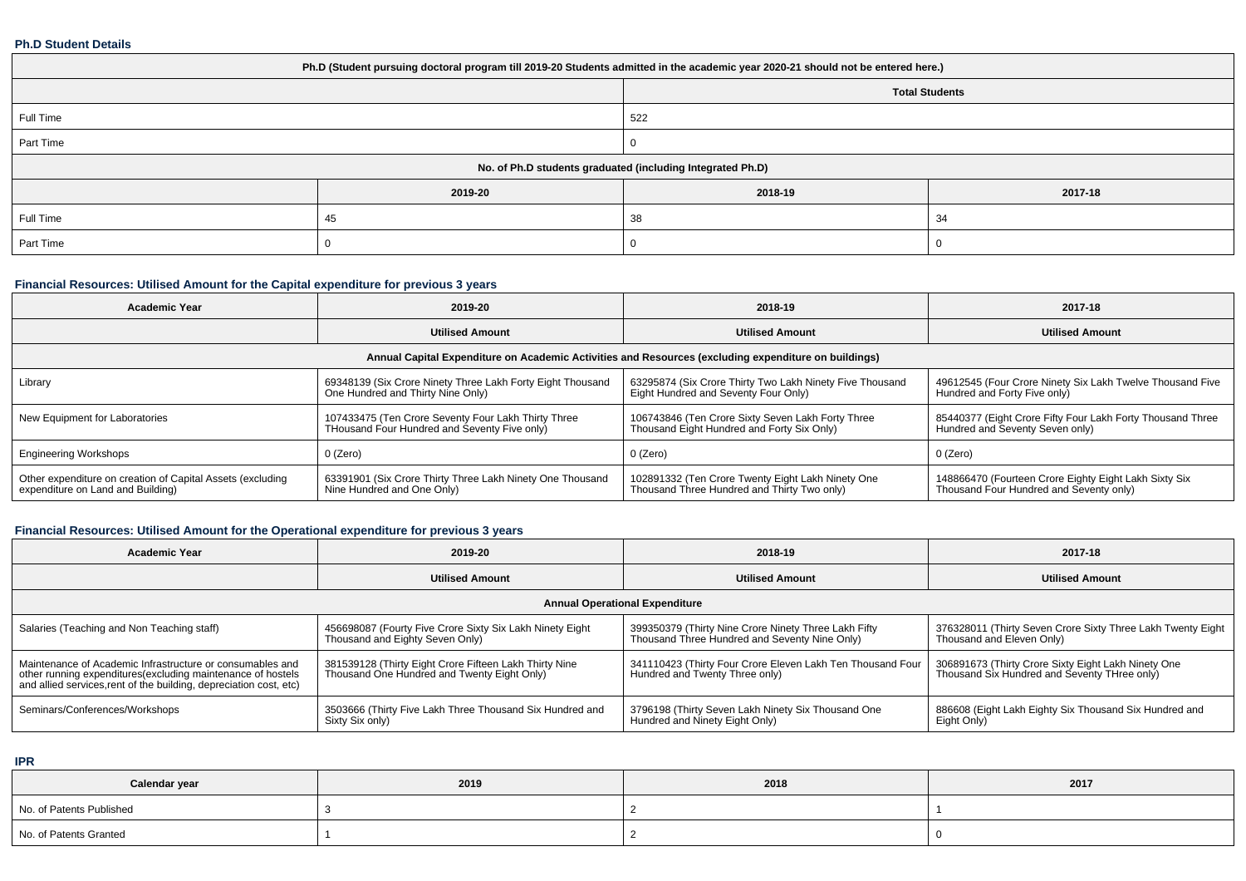#### **Ph.D Student Details**

| Ph.D (Student pursuing doctoral program till 2019-20 Students admitted in the academic year 2020-21 should not be entered here.) |         |                       |         |  |  |
|----------------------------------------------------------------------------------------------------------------------------------|---------|-----------------------|---------|--|--|
|                                                                                                                                  |         | <b>Total Students</b> |         |  |  |
| Full Time                                                                                                                        |         | 522                   |         |  |  |
| Part Time                                                                                                                        |         |                       |         |  |  |
| No. of Ph.D students graduated (including Integrated Ph.D)                                                                       |         |                       |         |  |  |
|                                                                                                                                  | 2019-20 | 2018-19               | 2017-18 |  |  |
| Full Time                                                                                                                        | 45      | 38                    | 34      |  |  |
| Part Time                                                                                                                        |         |                       |         |  |  |

# **Financial Resources: Utilised Amount for the Capital expenditure for previous 3 years**

| <b>Academic Year</b>                                                                                 | 2019-20                                                                                             | 2018-19                                                                                          | 2017-18                                                                                          |  |  |  |
|------------------------------------------------------------------------------------------------------|-----------------------------------------------------------------------------------------------------|--------------------------------------------------------------------------------------------------|--------------------------------------------------------------------------------------------------|--|--|--|
|                                                                                                      | <b>Utilised Amount</b>                                                                              | <b>Utilised Amount</b>                                                                           | <b>Utilised Amount</b>                                                                           |  |  |  |
| Annual Capital Expenditure on Academic Activities and Resources (excluding expenditure on buildings) |                                                                                                     |                                                                                                  |                                                                                                  |  |  |  |
| Library                                                                                              | 69348139 (Six Crore Ninety Three Lakh Forty Eight Thousand<br>One Hundred and Thirty Nine Only)     | 63295874 (Six Crore Thirty Two Lakh Ninety Five Thousand<br>Eight Hundred and Seventy Four Only) | 49612545 (Four Crore Ninety Six Lakh Twelve Thousand Five<br>Hundred and Forty Five only)        |  |  |  |
| New Equipment for Laboratories                                                                       | 107433475 (Ten Crore Seventy Four Lakh Thirty Three<br>THousand Four Hundred and Seventy Five only) | 106743846 (Ten Crore Sixty Seven Lakh Forty Three<br>Thousand Eight Hundred and Forty Six Only)  | 85440377 (Eight Crore Fifty Four Lakh Forty Thousand Three<br>Hundred and Seventy Seven only)    |  |  |  |
| <b>Engineering Workshops</b>                                                                         | 0 (Zero)                                                                                            | 0 (Zero)                                                                                         | 0 (Zero)                                                                                         |  |  |  |
| Other expenditure on creation of Capital Assets (excluding<br>expenditure on Land and Building)      | 63391901 (Six Crore Thirty Three Lakh Ninety One Thousand<br>Nine Hundred and One Only)             | 102891332 (Ten Crore Twenty Eight Lakh Ninety One<br>Thousand Three Hundred and Thirty Two only) | 148866470 (Fourteen Crore Eighty Eight Lakh Sixty Six<br>Thousand Four Hundred and Seventy only) |  |  |  |

# **Financial Resources: Utilised Amount for the Operational expenditure for previous 3 years**

| <b>Academic Year</b>                                                                                                                                                                            | 2019-20                                                                                               | 2018-19                                                                                               | 2017-18                                                                                             |  |  |  |
|-------------------------------------------------------------------------------------------------------------------------------------------------------------------------------------------------|-------------------------------------------------------------------------------------------------------|-------------------------------------------------------------------------------------------------------|-----------------------------------------------------------------------------------------------------|--|--|--|
|                                                                                                                                                                                                 | <b>Utilised Amount</b>                                                                                | <b>Utilised Amount</b>                                                                                | <b>Utilised Amount</b>                                                                              |  |  |  |
| <b>Annual Operational Expenditure</b>                                                                                                                                                           |                                                                                                       |                                                                                                       |                                                                                                     |  |  |  |
| Salaries (Teaching and Non Teaching staff)                                                                                                                                                      | 456698087 (Fourty Five Crore Sixty Six Lakh Ninety Eight<br>Thousand and Eighty Seven Only)           | 399350379 (Thirty Nine Crore Ninety Three Lakh Fifty<br>Thousand Three Hundred and Seventy Nine Only) | 376328011 (Thirty Seven Crore Sixty Three Lakh Twenty Eight<br>Thousand and Eleven Only)            |  |  |  |
| Maintenance of Academic Infrastructure or consumables and<br>other running expenditures (excluding maintenance of hostels<br>and allied services, rent of the building, depreciation cost, etc) | 381539128 (Thirty Eight Crore Fifteen Lakh Thirty Nine<br>Thousand One Hundred and Twenty Eight Only) | 341110423 (Thirty Four Crore Eleven Lakh Ten Thousand Four<br>Hundred and Twenty Three only)          | 306891673 (Thirty Crore Sixty Eight Lakh Ninety One<br>Thousand Six Hundred and Seventy THree only) |  |  |  |
| Seminars/Conferences/Workshops                                                                                                                                                                  | 3503666 (Thirty Five Lakh Three Thousand Six Hundred and<br>Sixty Six only)                           | 3796198 (Thirty Seven Lakh Ninety Six Thousand One<br>Hundred and Ninety Eight Only)                  | 886608 (Eight Lakh Eighty Six Thousand Six Hundred and<br>Eight Only)                               |  |  |  |

**IPR**

| Calendar year            | 2019 | 2018 | 2017 |
|--------------------------|------|------|------|
| No. of Patents Published |      |      |      |
| No. of Patents Granted   |      |      |      |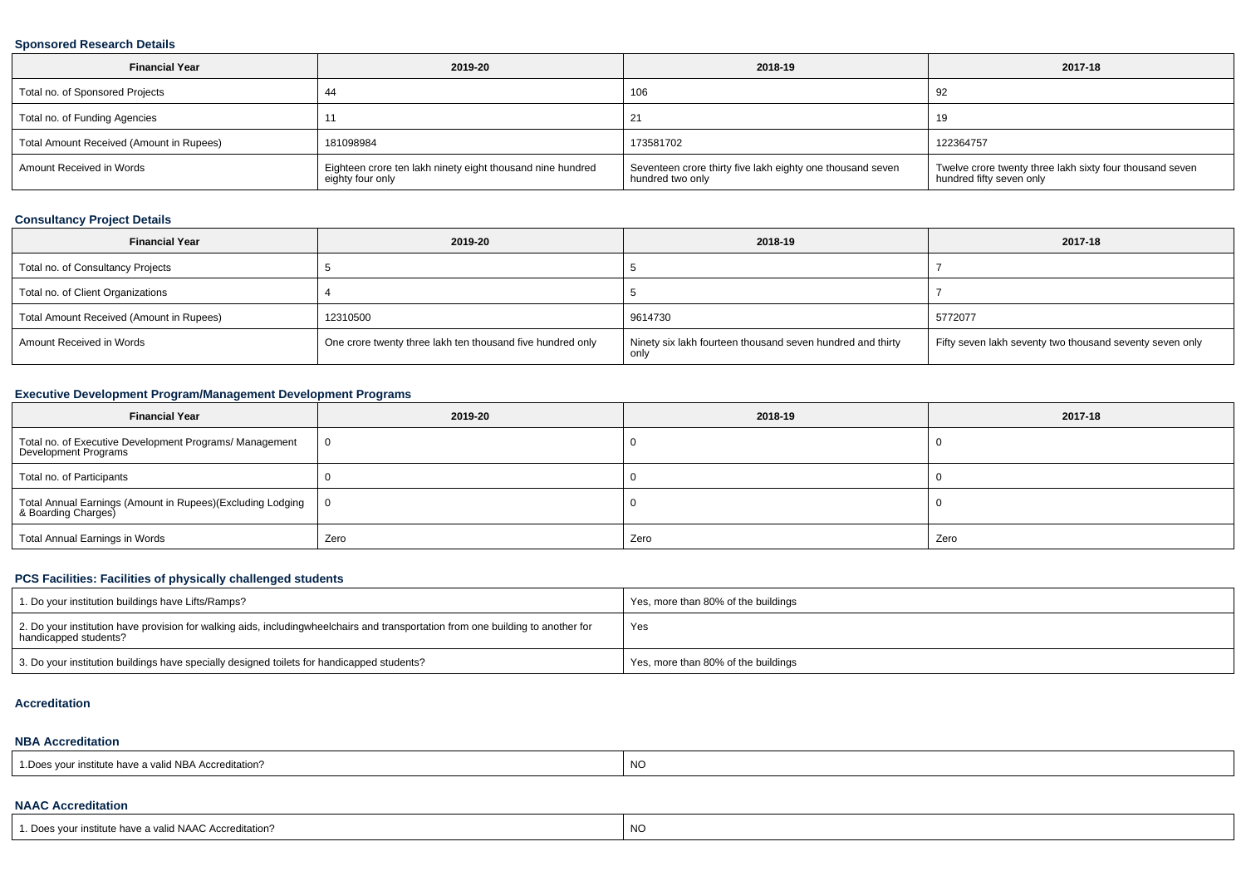#### **Sponsored Research Details**

| <b>Financial Year</b>                    | 2019-20                                                                        | 2018-19                                                                        | 2017-18                                                                              |
|------------------------------------------|--------------------------------------------------------------------------------|--------------------------------------------------------------------------------|--------------------------------------------------------------------------------------|
| Total no. of Sponsored Projects          |                                                                                | 106                                                                            | 92                                                                                   |
| Total no. of Funding Agencies            |                                                                                |                                                                                |                                                                                      |
| Total Amount Received (Amount in Rupees) | 181098984                                                                      | 173581702                                                                      | 122364757                                                                            |
| Amount Received in Words                 | Eighteen crore ten lakh ninety eight thousand nine hundred<br>eighty four only | Seventeen crore thirty five lakh eighty one thousand seven<br>hundred two only | Twelve crore twenty three lakh sixty four thousand seven<br>hundred fifty seven only |

# **Consultancy Project Details**

| <b>Financial Year</b>                    | 2019-20                                                    | 2018-19                                                            | 2017-18                                                  |
|------------------------------------------|------------------------------------------------------------|--------------------------------------------------------------------|----------------------------------------------------------|
| Total no. of Consultancy Projects        |                                                            |                                                                    |                                                          |
| Total no. of Client Organizations        |                                                            |                                                                    |                                                          |
| Total Amount Received (Amount in Rupees) | 12310500                                                   | 9614730                                                            | 5772077                                                  |
| Amount Received in Words                 | One crore twenty three lakh ten thousand five hundred only | Ninety six lakh fourteen thousand seven hundred and thirty<br>only | Fifty seven lakh seventy two thousand seventy seven only |

# **Executive Development Program/Management Development Programs**

| <b>Financial Year</b>                                                             | 2019-20 | 2018-19 | 2017-18 |
|-----------------------------------------------------------------------------------|---------|---------|---------|
| Total no. of Executive Development Programs/ Management<br>Development Programs   | - 0     |         |         |
| Total no. of Participants                                                         |         |         |         |
| Total Annual Earnings (Amount in Rupees)(Excluding Lodging<br>& Boarding Charges) | - 0     |         |         |
| Total Annual Earnings in Words                                                    | Zero    | Zero    | Zero    |

#### **PCS Facilities: Facilities of physically challenged students**

| 1. Do your institution buildings have Lifts/Ramps?                                                                                                        | Yes, more than 80% of the buildings |
|-----------------------------------------------------------------------------------------------------------------------------------------------------------|-------------------------------------|
| 2. Do your institution have provision for walking aids, includingwheelchairs and transportation from one building to another for<br>handicapped students? | Yes                                 |
| 3. Do your institution buildings have specially designed toilets for handicapped students?                                                                | Yes, more than 80% of the buildings |

#### **Accreditation**

#### **NBA Accreditation**

| 1. Does your institute have a valid NBA Accreditation? | NO |
|--------------------------------------------------------|----|
|                                                        |    |

#### **NAAC Accreditation**

| our institute have a valid NAAC Accreditation?<br>Does v | N1 |
|----------------------------------------------------------|----|
|                                                          |    |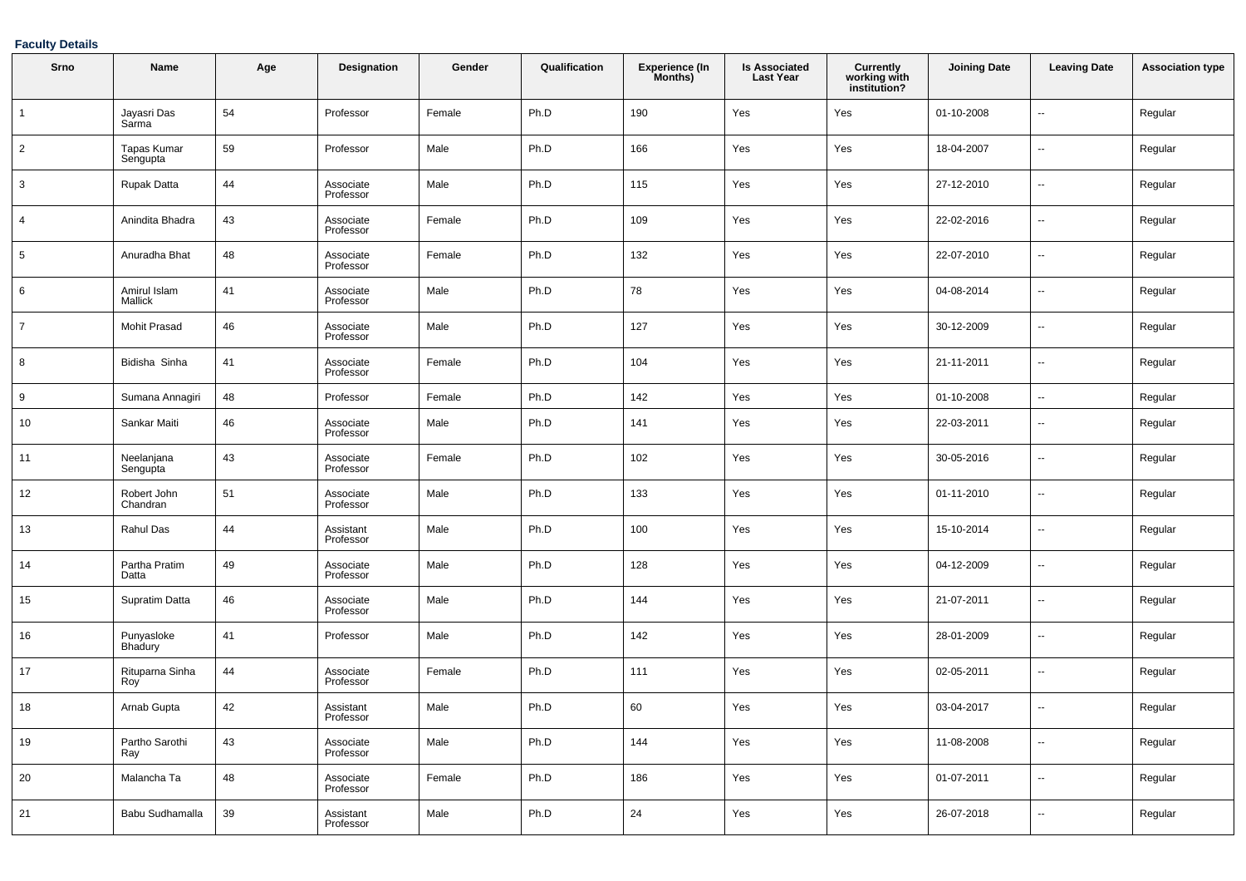### **Faculty Details**

| Srno            | Name                    | Age | Designation            | Gender | Qualification | <b>Experience (In</b><br>Months) | <b>Is Associated</b><br><b>Last Year</b> | Currently<br>working with<br>institution? | <b>Joining Date</b> | <b>Leaving Date</b>      | <b>Association type</b> |
|-----------------|-------------------------|-----|------------------------|--------|---------------|----------------------------------|------------------------------------------|-------------------------------------------|---------------------|--------------------------|-------------------------|
| $\mathbf{1}$    | Jayasri Das<br>Sarma    | 54  | Professor              | Female | Ph.D          | 190                              | Yes                                      | Yes                                       | 01-10-2008          | $\overline{\phantom{a}}$ | Regular                 |
| $\overline{2}$  | Tapas Kumar<br>Sengupta | 59  | Professor              | Male   | Ph.D          | 166                              | Yes                                      | Yes                                       | 18-04-2007          | $\overline{\phantom{a}}$ | Regular                 |
| 3               | <b>Rupak Datta</b>      | 44  | Associate<br>Professor | Male   | Ph.D          | 115                              | Yes                                      | Yes                                       | 27-12-2010          | $\overline{\phantom{a}}$ | Regular                 |
| $\overline{4}$  | Anindita Bhadra         | 43  | Associate<br>Professor | Female | Ph.D          | 109                              | Yes                                      | Yes                                       | 22-02-2016          | $\overline{\phantom{a}}$ | Regular                 |
| $5\phantom{.0}$ | Anuradha Bhat           | 48  | Associate<br>Professor | Female | Ph.D          | 132                              | Yes                                      | Yes                                       | 22-07-2010          | $\overline{\phantom{a}}$ | Regular                 |
| 6               | Amirul Islam<br>Mallick | 41  | Associate<br>Professor | Male   | Ph.D          | 78                               | Yes                                      | Yes                                       | 04-08-2014          | $\overline{\phantom{a}}$ | Regular                 |
| $\overline{7}$  | <b>Mohit Prasad</b>     | 46  | Associate<br>Professor | Male   | Ph.D          | 127                              | Yes                                      | Yes                                       | 30-12-2009          | $\overline{\phantom{a}}$ | Regular                 |
| 8               | Bidisha Sinha           | 41  | Associate<br>Professor | Female | Ph.D          | 104                              | Yes                                      | Yes                                       | 21-11-2011          | $\overline{\phantom{a}}$ | Regular                 |
| 9               | Sumana Annagiri         | 48  | Professor              | Female | Ph.D          | 142                              | Yes                                      | Yes                                       | 01-10-2008          | $\overline{\phantom{a}}$ | Regular                 |
| 10              | Sankar Maiti            | 46  | Associate<br>Professor | Male   | Ph.D          | 141                              | Yes                                      | Yes                                       | 22-03-2011          | $\overline{\phantom{a}}$ | Regular                 |
| 11              | Neelanjana<br>Sengupta  | 43  | Associate<br>Professor | Female | Ph.D          | 102                              | Yes                                      | Yes                                       | 30-05-2016          | $\overline{\phantom{a}}$ | Regular                 |
| 12              | Robert John<br>Chandran | 51  | Associate<br>Professor | Male   | Ph.D          | 133                              | Yes                                      | Yes                                       | 01-11-2010          | $\overline{\phantom{a}}$ | Regular                 |
| 13              | Rahul Das               | 44  | Assistant<br>Professor | Male   | Ph.D          | 100                              | Yes                                      | Yes                                       | 15-10-2014          | $\overline{\phantom{a}}$ | Regular                 |
| 14              | Partha Pratim<br>Datta  | 49  | Associate<br>Professor | Male   | Ph.D          | 128                              | Yes                                      | Yes                                       | 04-12-2009          | $\overline{\phantom{a}}$ | Regular                 |
| 15              | Supratim Datta          | 46  | Associate<br>Professor | Male   | Ph.D          | 144                              | Yes                                      | Yes                                       | 21-07-2011          | $\overline{\phantom{a}}$ | Regular                 |
| 16              | Punyasloke<br>Bhadury   | 41  | Professor              | Male   | Ph.D          | 142                              | Yes                                      | Yes                                       | 28-01-2009          | $\overline{\phantom{a}}$ | Regular                 |
| 17              | Rituparna Sinha<br>Roy  | 44  | Associate<br>Professor | Female | Ph.D          | 111                              | Yes                                      | Yes                                       | 02-05-2011          | $\overline{\phantom{a}}$ | Regular                 |
| 18              | Arnab Gupta             | 42  | Assistant<br>Professor | Male   | Ph.D          | 60                               | Yes                                      | Yes                                       | 03-04-2017          | $\overline{\phantom{a}}$ | Regular                 |
| 19              | Partho Sarothi<br>Ray   | 43  | Associate<br>Professor | Male   | Ph.D          | 144                              | Yes                                      | Yes                                       | 11-08-2008          | $\overline{\phantom{a}}$ | Regular                 |
| $20\,$          | Malancha Ta             | 48  | Associate<br>Professor | Female | Ph.D          | 186                              | Yes                                      | Yes                                       | 01-07-2011          | $\overline{\phantom{a}}$ | Regular                 |
| 21              | Babu Sudhamalla         | 39  | Assistant<br>Professor | Male   | Ph.D          | 24                               | Yes                                      | Yes                                       | 26-07-2018          | $\overline{\phantom{a}}$ | Regular                 |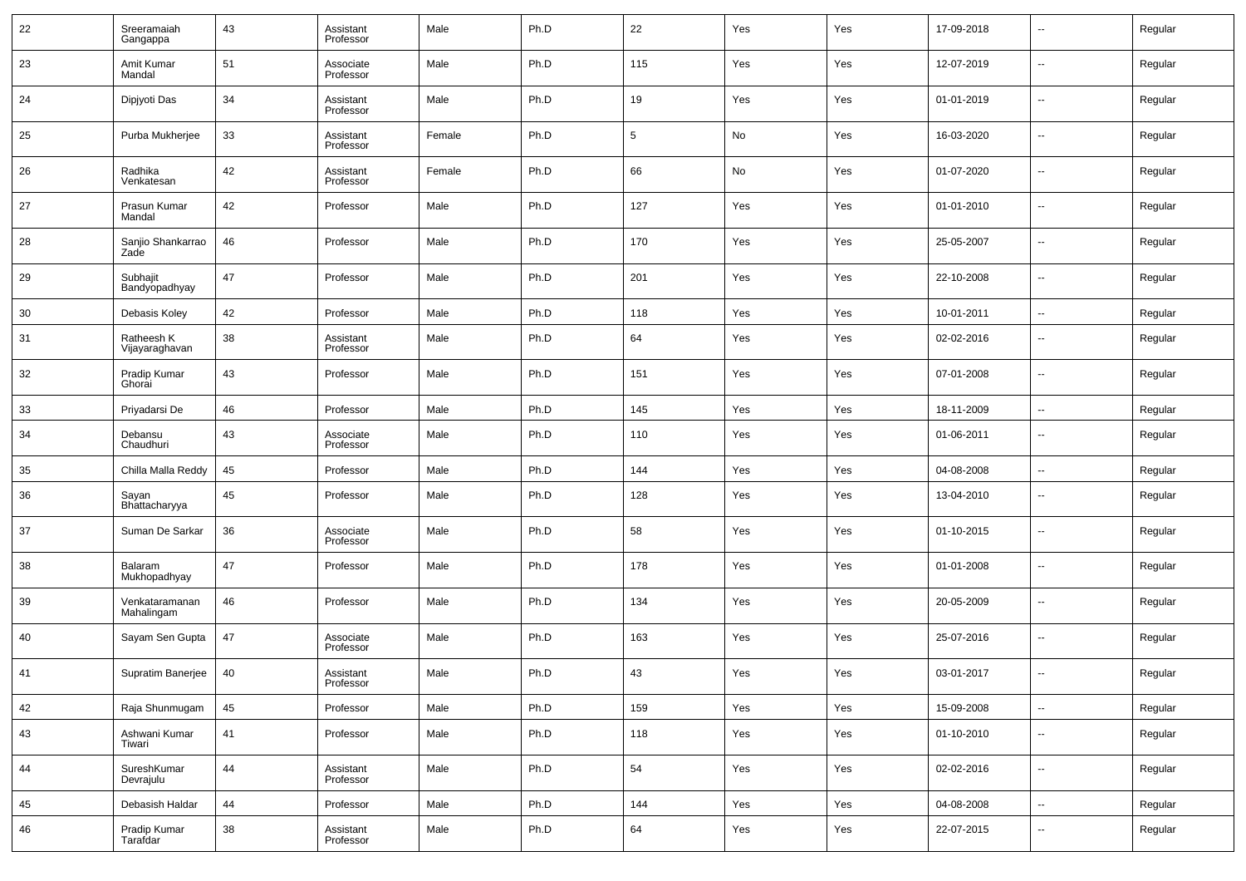| 22 | Sreeramaiah<br>Gangappa      | 43 | Assistant<br>Professor | Male   | Ph.D | 22              | Yes | Yes | 17-09-2018 | --                       | Regular |
|----|------------------------------|----|------------------------|--------|------|-----------------|-----|-----|------------|--------------------------|---------|
| 23 | Amit Kumar<br>Mandal         | 51 | Associate<br>Professor | Male   | Ph.D | 115             | Yes | Yes | 12-07-2019 | --                       | Regular |
| 24 | Dipjyoti Das                 | 34 | Assistant<br>Professor | Male   | Ph.D | 19              | Yes | Yes | 01-01-2019 | ш.                       | Regular |
| 25 | Purba Mukherjee              | 33 | Assistant<br>Professor | Female | Ph.D | $5\phantom{.0}$ | No  | Yes | 16-03-2020 | $\overline{\phantom{a}}$ | Regular |
| 26 | Radhika<br>Venkatesan        | 42 | Assistant<br>Professor | Female | Ph.D | 66              | No  | Yes | 01-07-2020 | ш.                       | Regular |
| 27 | Prasun Kumar<br>Mandal       | 42 | Professor              | Male   | Ph.D | 127             | Yes | Yes | 01-01-2010 | $\overline{\phantom{a}}$ | Regular |
| 28 | Sanjio Shankarrao<br>Zade    | 46 | Professor              | Male   | Ph.D | 170             | Yes | Yes | 25-05-2007 | ш.                       | Regular |
| 29 | Subhajit<br>Bandyopadhyay    | 47 | Professor              | Male   | Ph.D | 201             | Yes | Yes | 22-10-2008 | ш.                       | Regular |
| 30 | Debasis Koley                | 42 | Professor              | Male   | Ph.D | 118             | Yes | Yes | 10-01-2011 | $\sim$                   | Regular |
| 31 | Ratheesh K<br>Vijayaraghavan | 38 | Assistant<br>Professor | Male   | Ph.D | 64              | Yes | Yes | 02-02-2016 | --                       | Regular |
| 32 | Pradip Kumar<br>Ghorai       | 43 | Professor              | Male   | Ph.D | 151             | Yes | Yes | 07-01-2008 | --                       | Regular |
| 33 | Priyadarsi De                | 46 | Professor              | Male   | Ph.D | 145             | Yes | Yes | 18-11-2009 | $\sim$                   | Regular |
| 34 | Debansu<br>Chaudhuri         | 43 | Associate<br>Professor | Male   | Ph.D | 110             | Yes | Yes | 01-06-2011 | $\sim$                   | Regular |
| 35 | Chilla Malla Reddy           | 45 | Professor              | Male   | Ph.D | 144             | Yes | Yes | 04-08-2008 | н.                       | Regular |
| 36 | Sayan<br>Bhattacharyya       | 45 | Professor              | Male   | Ph.D | 128             | Yes | Yes | 13-04-2010 | --                       | Regular |
| 37 | Suman De Sarkar              | 36 | Associate<br>Professor | Male   | Ph.D | 58              | Yes | Yes | 01-10-2015 | --                       | Regular |
| 38 | Balaram<br>Mukhopadhyay      | 47 | Professor              | Male   | Ph.D | 178             | Yes | Yes | 01-01-2008 | --                       | Regular |
| 39 | Venkataramanan<br>Mahalingam | 46 | Professor              | Male   | Ph.D | 134             | Yes | Yes | 20-05-2009 | --                       | Regular |
| 40 | Sayam Sen Gupta              | 47 | Associate<br>Professor | Male   | Ph.D | 163             | Yes | Yes | 25-07-2016 | --                       | Regular |
| 41 | Supratim Banerjee            | 40 | Assistant<br>Professor | Male   | Ph.D | 43              | Yes | Yes | 03-01-2017 | --                       | Regular |
| 42 | Raja Shunmugam               | 45 | Professor              | Male   | Ph.D | 159             | Yes | Yes | 15-09-2008 | $\sim$                   | Regular |
| 43 | Ashwani Kumar<br>Tiwari      | 41 | Professor              | Male   | Ph.D | 118             | Yes | Yes | 01-10-2010 | $\sim$                   | Regular |
| 44 | SureshKumar<br>Devrajulu     | 44 | Assistant<br>Professor | Male   | Ph.D | 54              | Yes | Yes | 02-02-2016 | ш,                       | Regular |
| 45 | Debasish Haldar              | 44 | Professor              | Male   | Ph.D | 144             | Yes | Yes | 04-08-2008 | $\sim$                   | Regular |
| 46 | Pradip Kumar<br>Tarafdar     | 38 | Assistant<br>Professor | Male   | Ph.D | 64              | Yes | Yes | 22-07-2015 | $\sim$                   | Regular |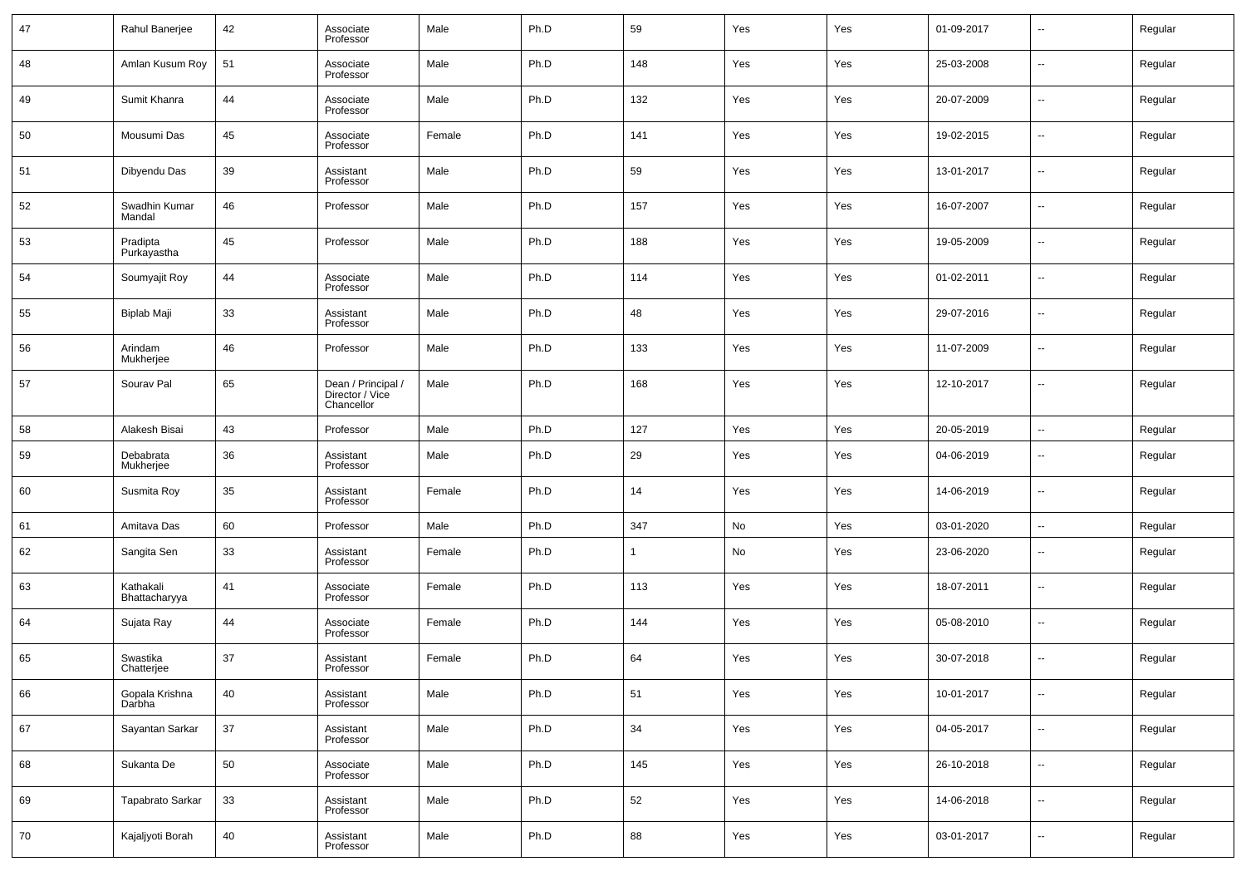| 47 | Rahul Banerjee             | 42 | Associate<br>Professor                              | Male   | Ph.D | 59  | Yes | Yes | 01-09-2017 | н.                       | Regular |
|----|----------------------------|----|-----------------------------------------------------|--------|------|-----|-----|-----|------------|--------------------------|---------|
| 48 | Amlan Kusum Roy            | 51 | Associate<br>Professor                              | Male   | Ph.D | 148 | Yes | Yes | 25-03-2008 | $\sim$                   | Regular |
| 49 | Sumit Khanra               | 44 | Associate<br>Professor                              | Male   | Ph.D | 132 | Yes | Yes | 20-07-2009 | ⊷                        | Regular |
| 50 | Mousumi Das                | 45 | Associate<br>Professor                              | Female | Ph.D | 141 | Yes | Yes | 19-02-2015 | ⊶.                       | Regular |
| 51 | Dibyendu Das               | 39 | Assistant<br>Professor                              | Male   | Ph.D | 59  | Yes | Yes | 13-01-2017 | ⊷                        | Regular |
| 52 | Swadhin Kumar<br>Mandal    | 46 | Professor                                           | Male   | Ph.D | 157 | Yes | Yes | 16-07-2007 | ⊷                        | Regular |
| 53 | Pradipta<br>Purkayastha    | 45 | Professor                                           | Male   | Ph.D | 188 | Yes | Yes | 19-05-2009 | ⊷                        | Regular |
| 54 | Soumyajit Roy              | 44 | Associate<br>Professor                              | Male   | Ph.D | 114 | Yes | Yes | 01-02-2011 | ⊷                        | Regular |
| 55 | Biplab Maji                | 33 | Assistant<br>Professor                              | Male   | Ph.D | 48  | Yes | Yes | 29-07-2016 | $\overline{\phantom{a}}$ | Regular |
| 56 | Arindam<br>Mukherjee       | 46 | Professor                                           | Male   | Ph.D | 133 | Yes | Yes | 11-07-2009 | ⊷                        | Regular |
| 57 | Sourav Pal                 | 65 | Dean / Principal /<br>Director / Vice<br>Chancellor | Male   | Ph.D | 168 | Yes | Yes | 12-10-2017 | $\overline{\phantom{a}}$ | Regular |
| 58 | Alakesh Bisai              | 43 | Professor                                           | Male   | Ph.D | 127 | Yes | Yes | 20-05-2019 | $\ddotsc$                | Regular |
| 59 | Debabrata<br>Mukherjee     | 36 | Assistant<br>Professor                              | Male   | Ph.D | 29  | Yes | Yes | 04-06-2019 | ⊷                        | Regular |
| 60 | Susmita Roy                | 35 | Assistant<br>Professor                              | Female | Ph.D | 14  | Yes | Yes | 14-06-2019 | ⊷                        | Regular |
| 61 | Amitava Das                | 60 | Professor                                           | Male   | Ph.D | 347 | No  | Yes | 03-01-2020 | $\ddotsc$                | Regular |
| 62 | Sangita Sen                | 33 | Assistant<br>Professor                              | Female | Ph.D | 1   | No  | Yes | 23-06-2020 | ⊷                        | Regular |
| 63 | Kathakali<br>Bhattacharyya | 41 | Associate<br>Professor                              | Female | Ph.D | 113 | Yes | Yes | 18-07-2011 | ⊷                        | Regular |
| 64 | Sujata Ray                 | 44 | Associate<br>Professor                              | Female | Ph.D | 144 | Yes | Yes | 05-08-2010 | ⊷                        | Regular |
| 65 | Swastika<br>Chatterjee     | 37 | Assistant<br>Professor                              | Female | Ph.D | 64  | Yes | Yes | 30-07-2018 | н.                       | Regular |
| 66 | Gopala Krishna<br>Darbha   | 40 | Assistant<br>Professor                              | Male   | Ph.D | 51  | Yes | Yes | 10-01-2017 | ⊷                        | Regular |
| 67 | Sayantan Sarkar            | 37 | Assistant<br>Professor                              | Male   | Ph.D | 34  | Yes | Yes | 04-05-2017 | $\sim$                   | Regular |
| 68 | Sukanta De                 | 50 | Associate<br>Professor                              | Male   | Ph.D | 145 | Yes | Yes | 26-10-2018 | $\sim$                   | Regular |
| 69 | Tapabrato Sarkar           | 33 | Assistant<br>Professor                              | Male   | Ph.D | 52  | Yes | Yes | 14-06-2018 | $\sim$                   | Regular |
| 70 | Kajaljyoti Borah           | 40 | Assistant<br>Professor                              | Male   | Ph.D | 88  | Yes | Yes | 03-01-2017 | ⊶.                       | Regular |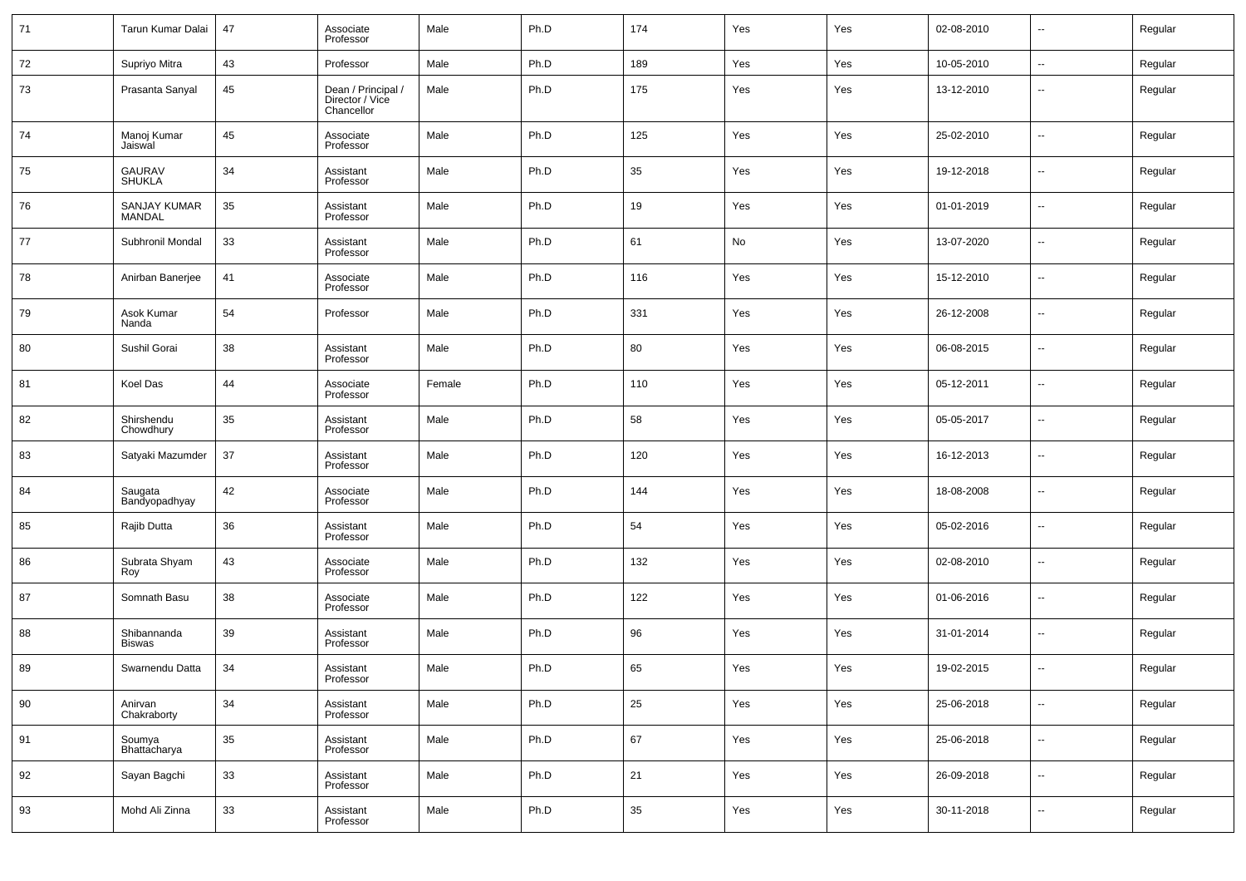| 71 | Tarun Kumar Dalai            | 47 | Associate<br>Professor                              | Male   | Ph.D | 174 | Yes | Yes | 02-08-2010 | $\overline{\phantom{a}}$ | Regular |
|----|------------------------------|----|-----------------------------------------------------|--------|------|-----|-----|-----|------------|--------------------------|---------|
| 72 | Supriyo Mitra                | 43 | Professor                                           | Male   | Ph.D | 189 | Yes | Yes | 10-05-2010 | $\sim$                   | Regular |
| 73 | Prasanta Sanyal              | 45 | Dean / Principal /<br>Director / Vice<br>Chancellor | Male   | Ph.D | 175 | Yes | Yes | 13-12-2010 | $\overline{\phantom{a}}$ | Regular |
| 74 | Manoj Kumar<br>Jaiswal       | 45 | Associate<br>Professor                              | Male   | Ph.D | 125 | Yes | Yes | 25-02-2010 | $\overline{\phantom{a}}$ | Regular |
| 75 | GAURAV<br>SHUKLA             | 34 | Assistant<br>Professor                              | Male   | Ph.D | 35  | Yes | Yes | 19-12-2018 | $\overline{\phantom{a}}$ | Regular |
| 76 | SANJAY KUMAR<br>MANDAL       | 35 | Assistant<br>Professor                              | Male   | Ph.D | 19  | Yes | Yes | 01-01-2019 | $\overline{\phantom{a}}$ | Regular |
| 77 | Subhronil Mondal             | 33 | Assistant<br>Professor                              | Male   | Ph.D | 61  | No  | Yes | 13-07-2020 | $\overline{\phantom{a}}$ | Regular |
| 78 | Anirban Banerjee             | 41 | Associate<br>Professor                              | Male   | Ph.D | 116 | Yes | Yes | 15-12-2010 | $\overline{\phantom{a}}$ | Regular |
| 79 | Asok Kumar<br>Nanda          | 54 | Professor                                           | Male   | Ph.D | 331 | Yes | Yes | 26-12-2008 | $\overline{\phantom{a}}$ | Regular |
| 80 | Sushil Gorai                 | 38 | Assistant<br>Professor                              | Male   | Ph.D | 80  | Yes | Yes | 06-08-2015 | $\overline{\phantom{a}}$ | Regular |
| 81 | Koel Das                     | 44 | Associate<br>Professor                              | Female | Ph.D | 110 | Yes | Yes | 05-12-2011 | $\overline{\phantom{a}}$ | Regular |
| 82 | Shirshendu<br>Chowdhury      | 35 | Assistant<br>Professor                              | Male   | Ph.D | 58  | Yes | Yes | 05-05-2017 | $\overline{\phantom{a}}$ | Regular |
| 83 | Satyaki Mazumder             | 37 | Assistant<br>Professor                              | Male   | Ph.D | 120 | Yes | Yes | 16-12-2013 | $\overline{\phantom{a}}$ | Regular |
| 84 | Saugata<br>Bandyopadhyay     | 42 | Associate<br>Professor                              | Male   | Ph.D | 144 | Yes | Yes | 18-08-2008 | $\overline{\phantom{a}}$ | Regular |
| 85 | Rajib Dutta                  | 36 | Assistant<br>Professor                              | Male   | Ph.D | 54  | Yes | Yes | 05-02-2016 | $\overline{\phantom{a}}$ | Regular |
| 86 | Subrata Shyam<br>Roy         | 43 | Associate<br>Professor                              | Male   | Ph.D | 132 | Yes | Yes | 02-08-2010 | $\overline{\phantom{a}}$ | Regular |
| 87 | Somnath Basu                 | 38 | Associate<br>Professor                              | Male   | Ph.D | 122 | Yes | Yes | 01-06-2016 | $\overline{\phantom{a}}$ | Regular |
| 88 | Shibannanda<br><b>Biswas</b> | 39 | Assistant<br>Professor                              | Male   | Ph.D | 96  | Yes | Yes | 31-01-2014 | $\overline{\phantom{a}}$ | Regular |
| 89 | Swarnendu Datta              | 34 | Assistant<br>Professor                              | Male   | Ph.D | 65  | Yes | Yes | 19-02-2015 | $\overline{\phantom{a}}$ | Regular |
| 90 | Anirvan<br>Chakraborty       | 34 | Assistant<br>Professor                              | Male   | Ph.D | 25  | Yes | Yes | 25-06-2018 | $\overline{\phantom{a}}$ | Regular |
| 91 | Soumya<br>Bhattacharya       | 35 | Assistant<br>Professor                              | Male   | Ph.D | 67  | Yes | Yes | 25-06-2018 | $\overline{\phantom{a}}$ | Regular |
| 92 | Sayan Bagchi                 | 33 | Assistant<br>Professor                              | Male   | Ph.D | 21  | Yes | Yes | 26-09-2018 | $\overline{\phantom{a}}$ | Regular |
| 93 | Mohd Ali Zinna               | 33 | Assistant<br>Professor                              | Male   | Ph.D | 35  | Yes | Yes | 30-11-2018 | $\overline{\phantom{a}}$ | Regular |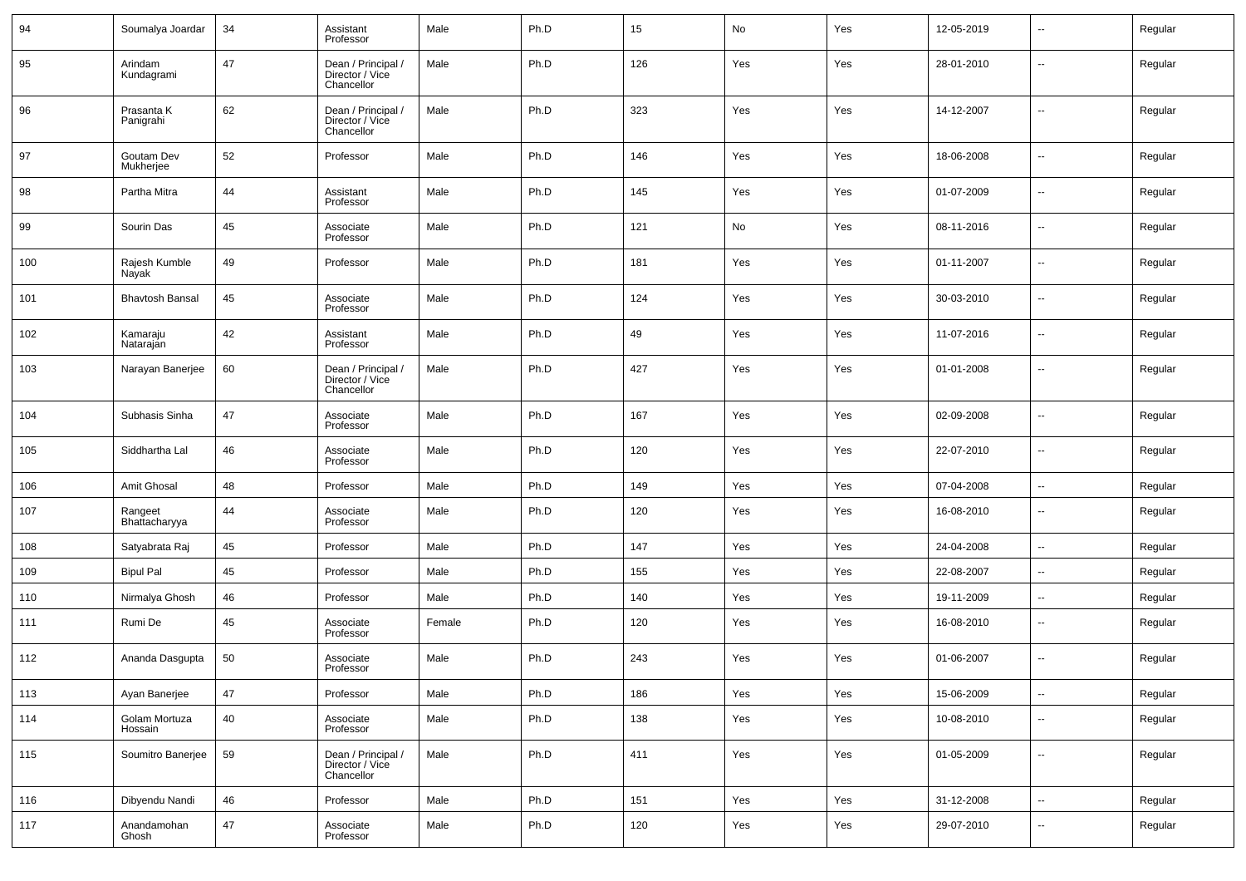| 94  | Soumalya Joardar         | 34 | Assistant<br>Professor                              | Male   | Ph.D | 15  | No  | Yes | 12-05-2019 | $\overline{\phantom{a}}$ | Regular |
|-----|--------------------------|----|-----------------------------------------------------|--------|------|-----|-----|-----|------------|--------------------------|---------|
| 95  | Arindam<br>Kundagrami    | 47 | Dean / Principal /<br>Director / Vice<br>Chancellor | Male   | Ph.D | 126 | Yes | Yes | 28-01-2010 | $\overline{\phantom{a}}$ | Regular |
| 96  | Prasanta K<br>Panigrahi  | 62 | Dean / Principal /<br>Director / Vice<br>Chancellor | Male   | Ph.D | 323 | Yes | Yes | 14-12-2007 | $\sim$                   | Regular |
| 97  | Goutam Dev<br>Mukherjee  | 52 | Professor                                           | Male   | Ph.D | 146 | Yes | Yes | 18-06-2008 | $\overline{\phantom{a}}$ | Regular |
| 98  | Partha Mitra             | 44 | Assistant<br>Professor                              | Male   | Ph.D | 145 | Yes | Yes | 01-07-2009 | $\overline{\phantom{a}}$ | Regular |
| 99  | Sourin Das               | 45 | Associate<br>Professor                              | Male   | Ph.D | 121 | No  | Yes | 08-11-2016 | $\overline{\phantom{a}}$ | Regular |
| 100 | Rajesh Kumble<br>Nayak   | 49 | Professor                                           | Male   | Ph.D | 181 | Yes | Yes | 01-11-2007 | $\overline{\phantom{a}}$ | Regular |
| 101 | <b>Bhavtosh Bansal</b>   | 45 | Associate<br>Professor                              | Male   | Ph.D | 124 | Yes | Yes | 30-03-2010 | $\overline{\phantom{a}}$ | Regular |
| 102 | Kamaraju<br>Natarajan    | 42 | Assistant<br>Professor                              | Male   | Ph.D | 49  | Yes | Yes | 11-07-2016 | $\overline{\phantom{a}}$ | Regular |
| 103 | Narayan Banerjee         | 60 | Dean / Principal /<br>Director / Vice<br>Chancellor | Male   | Ph.D | 427 | Yes | Yes | 01-01-2008 | $\overline{\phantom{a}}$ | Regular |
| 104 | Subhasis Sinha           | 47 | Associate<br>Professor                              | Male   | Ph.D | 167 | Yes | Yes | 02-09-2008 | $\overline{\phantom{a}}$ | Regular |
| 105 | Siddhartha Lal           | 46 | Associate<br>Professor                              | Male   | Ph.D | 120 | Yes | Yes | 22-07-2010 | $\overline{\phantom{a}}$ | Regular |
| 106 | Amit Ghosal              | 48 | Professor                                           | Male   | Ph.D | 149 | Yes | Yes | 07-04-2008 | $\overline{\phantom{a}}$ | Regular |
| 107 | Rangeet<br>Bhattacharyya | 44 | Associate<br>Professor                              | Male   | Ph.D | 120 | Yes | Yes | 16-08-2010 | $\overline{\phantom{a}}$ | Regular |
| 108 | Satyabrata Raj           | 45 | Professor                                           | Male   | Ph.D | 147 | Yes | Yes | 24-04-2008 | $\overline{\phantom{a}}$ | Regular |
| 109 | <b>Bipul Pal</b>         | 45 | Professor                                           | Male   | Ph.D | 155 | Yes | Yes | 22-08-2007 | $\sim$                   | Regular |
| 110 | Nirmalya Ghosh           | 46 | Professor                                           | Male   | Ph.D | 140 | Yes | Yes | 19-11-2009 | $\sim$                   | Regular |
| 111 | Rumi De                  | 45 | Associate<br>Professor                              | Female | Ph.D | 120 | Yes | Yes | 16-08-2010 | $\overline{\phantom{a}}$ | Regular |
| 112 | Ananda Dasgupta          | 50 | Associate<br>Professor                              | Male   | Ph.D | 243 | Yes | Yes | 01-06-2007 | $\overline{\phantom{a}}$ | Regular |
| 113 | Ayan Banerjee            | 47 | Professor                                           | Male   | Ph.D | 186 | Yes | Yes | 15-06-2009 | $\overline{\phantom{a}}$ | Regular |
| 114 | Golam Mortuza<br>Hossain | 40 | Associate<br>Professor                              | Male   | Ph.D | 138 | Yes | Yes | 10-08-2010 | $\overline{\phantom{a}}$ | Regular |
| 115 | Soumitro Banerjee        | 59 | Dean / Principal /<br>Director / Vice<br>Chancellor | Male   | Ph.D | 411 | Yes | Yes | 01-05-2009 | $\overline{\phantom{a}}$ | Regular |
| 116 | Dibyendu Nandi           | 46 | Professor                                           | Male   | Ph.D | 151 | Yes | Yes | 31-12-2008 | $\overline{\phantom{a}}$ | Regular |
| 117 | Anandamohan<br>Ghosh     | 47 | Associate<br>Professor                              | Male   | Ph.D | 120 | Yes | Yes | 29-07-2010 | $\overline{\phantom{a}}$ | Regular |